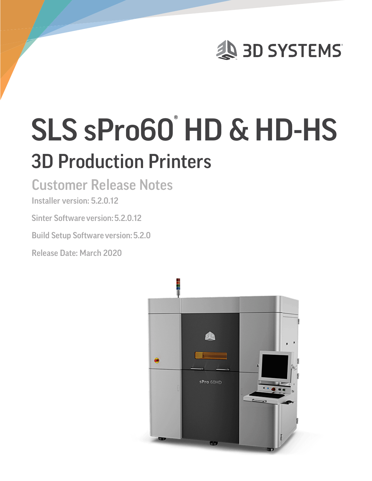

# SLS sPro60<sup>°</sup> HD & HD-HS 3D Production Printers

## Customer Release Notes

### Installer version: 5.2.0.12

Sinter Software version:5.2.0.12

**Build Setup Software version: 5.2.0** 

Release Date: March 2020

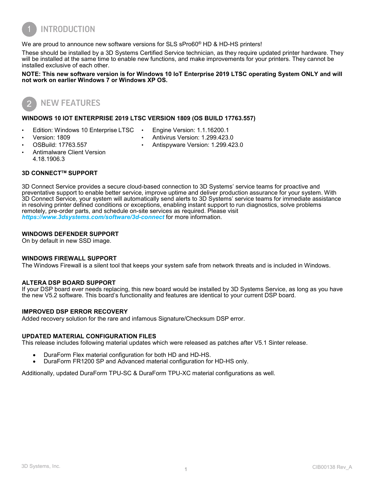

We are proud to announce new software versions for SLS sPro60<sup>®</sup> HD & HD-HS printers!

These should be installed by a 3D Systems Certified Service technician, as they require updated printer hardware. They will be installed at the same time to enable new functions, and make improvements for your printers. They cannot be installed exclusive of each other.

**NOTE: This new software version is for Windows 10 IoT Enterprise 2019 LTSC operating System ONLY and will not work on earlier Windows 7 or Windows XP OS.**



#### **WINDOWS 10 IOT ENTERPRISE 2019 LTSC VERSION 1809 (OS BUILD 17763.557)**

- Edition: Windows 10 Enterprise LTSC
- Engine Version: 1.1.16200.1

• Version: 1809

• Antivirus Version: 1.299.423.0

• OSBuild: 17763.557

- Antispyware Version: 1.299.423.0
- Antimalware Client Version 4.18.1906.3

#### **3D CONNECTTM SUPPORT**

3D Connect Service provides a secure cloud-based connection to 3D Systems' service teams for proactive and preventative support to enable better service, improve uptime and deliver production assurance for your system. With 3D Connect Service, your system will automatically send alerts to 3D Systems' service teams for immediate assistance in resolving printer defined conditions or exceptions, enabling instant support to run diagnostics, solve problems remotely, pre-order parts, and schedule on-site services as required. Please visit *<https://www.3dsystems.com/software/3d-connect>*for more information.

#### **WINDOWS DEFENDER SUPPORT**

On by default in new SSD image.

#### **WINDOWS FIREWALL SUPPORT**

The Windows Firewall is a silent tool that keeps your system safe from network threats and is included in Windows.

#### **ALTERA DSP BOARD SUPPORT**

If your DSP board ever needs replacing, this new board would be installed by 3D Systems Service, as long as you have the new V5.2 software. This board's functionality and features are identical to your current DSP board.

#### **IMPROVED DSP ERROR RECOVERY**

Added recovery solution for the rare and infamous Signature/Checksum DSP error.

#### **UPDATED MATERIAL CONFIGURATION FILES**

This release includes following material updates which were released as patches after V5.1 Sinter release.

- DuraForm Flex material configuration for both HD and HD-HS.
- DuraForm FR1200 SP and Advanced material configuration for HD-HS only.

Additionally, updated DuraForm TPU-SC & DuraForm TPU-XC material configurations as well.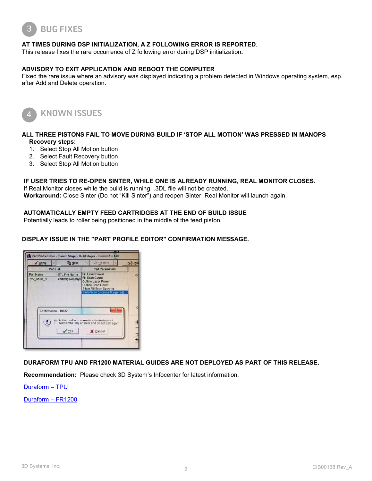

#### **AT TIMES DURING DSP INITIALIZATION, A Z FOLLOWING ERROR IS REPORTED**.

This release fixes the rare occurrence of Z following error during DSP initialization**.**

#### **ADVISORY TO EXIT APPLICATION AND REBOOT THE COMPUTER**

Fixed the rare issue where an advisory was displayed indicating a problem detected in Windows operating system, esp. after Add and Delete operation.



KNOWN ISSUES

#### **ALL THREE PISTONS FAIL TO MOVE DURING BUILD IF 'STOP ALL MOTION' WAS PRESSED IN MANOPS Recovery steps:**

- 1. Select Stop All Motion button
- 2. Select Fault Recovery button
- 3. Select Stop All Motion button

#### **IF USER TRIES TO RE-OPEN SINTER, WHILE ONE IS ALREADY RUNNING, REAL MONITOR CLOSES.**

If Real Monitor closes while the build is running, .3DL file will not be created. **Workaround:** Close Sinter (Do not "Kill Sinter") and reopen Sinter. Real Monitor will launch again.

#### **AUTOMATICALLY EMPTY FEED CARTRIDGES AT THE END OF BUILD ISSUE**

Potentially leads to roller being positioned in the middle of the feed piston.

#### **DISPLAY ISSUE IN THE "PART PROFILE EDITOR" CONFIRMATION MESSAGE.**



#### **DURAFORM TPU AND FR1200 MATERIAL GUIDES ARE NOT DEPLOYED AS PART OF THIS RELEASE.**

**Recommendation:** Please check 3D System's Infocenter for latest information.

[Duraform –](http://infocenter.3dsystems.com/product-library/sites/default/files/printers/spro60/5_2/75-D059_DuraForm_TPU_Elastomer_Material_Guide_Rev_A.pdf) TPU

[Duraform –](http://infocenter.3dsystems.com/product-library/sites/default/files/printers/spro60/5_2/75-D056_DuraForm_FR1200_Material%20Guide_Rev_A.pdf) FR1200